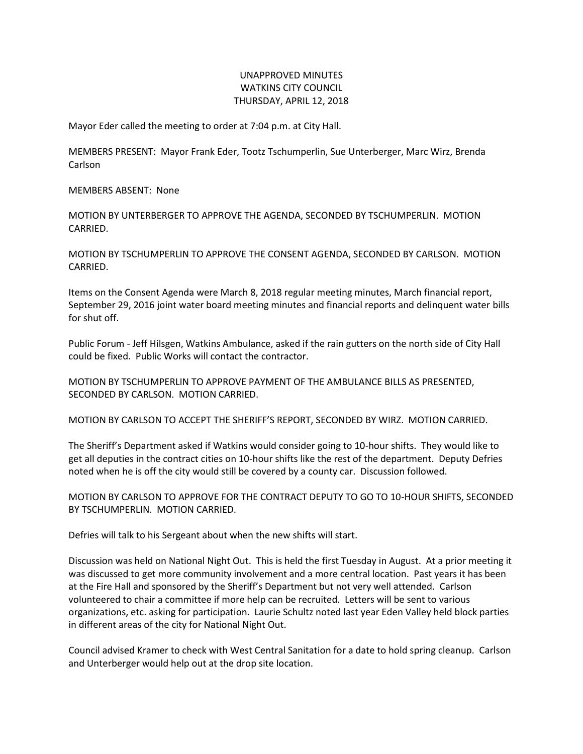## UNAPPROVED MINUTES WATKINS CITY COUNCIL THURSDAY, APRIL 12, 2018

Mayor Eder called the meeting to order at 7:04 p.m. at City Hall.

MEMBERS PRESENT: Mayor Frank Eder, Tootz Tschumperlin, Sue Unterberger, Marc Wirz, Brenda Carlson

MEMBERS ABSENT: None

MOTION BY UNTERBERGER TO APPROVE THE AGENDA, SECONDED BY TSCHUMPERLIN. MOTION CARRIED.

MOTION BY TSCHUMPERLIN TO APPROVE THE CONSENT AGENDA, SECONDED BY CARLSON. MOTION CARRIED.

Items on the Consent Agenda were March 8, 2018 regular meeting minutes, March financial report, September 29, 2016 joint water board meeting minutes and financial reports and delinquent water bills for shut off.

Public Forum - Jeff Hilsgen, Watkins Ambulance, asked if the rain gutters on the north side of City Hall could be fixed. Public Works will contact the contractor.

MOTION BY TSCHUMPERLIN TO APPROVE PAYMENT OF THE AMBULANCE BILLS AS PRESENTED, SECONDED BY CARLSON. MOTION CARRIED.

MOTION BY CARLSON TO ACCEPT THE SHERIFF'S REPORT, SECONDED BY WIRZ. MOTION CARRIED.

The Sheriff's Department asked if Watkins would consider going to 10-hour shifts. They would like to get all deputies in the contract cities on 10-hour shifts like the rest of the department. Deputy Defries noted when he is off the city would still be covered by a county car. Discussion followed.

MOTION BY CARLSON TO APPROVE FOR THE CONTRACT DEPUTY TO GO TO 10-HOUR SHIFTS, SECONDED BY TSCHUMPERLIN. MOTION CARRIED.

Defries will talk to his Sergeant about when the new shifts will start.

Discussion was held on National Night Out. This is held the first Tuesday in August. At a prior meeting it was discussed to get more community involvement and a more central location. Past years it has been at the Fire Hall and sponsored by the Sheriff's Department but not very well attended. Carlson volunteered to chair a committee if more help can be recruited. Letters will be sent to various organizations, etc. asking for participation. Laurie Schultz noted last year Eden Valley held block parties in different areas of the city for National Night Out.

Council advised Kramer to check with West Central Sanitation for a date to hold spring cleanup. Carlson and Unterberger would help out at the drop site location.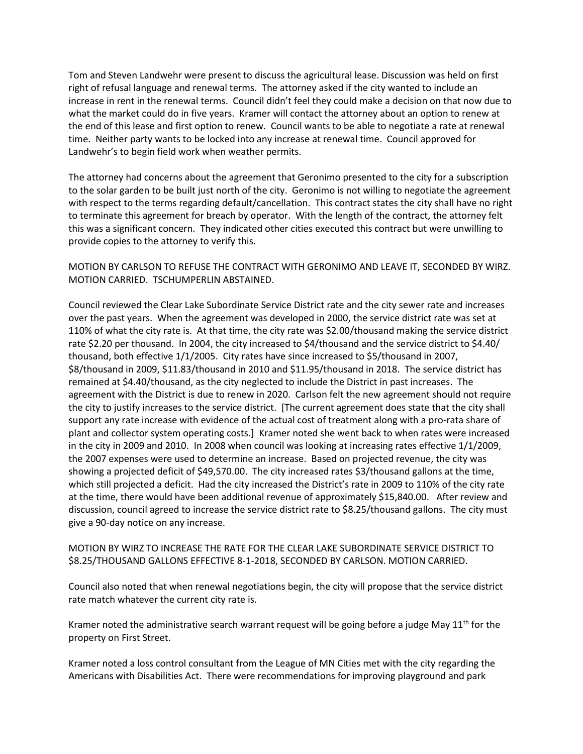Tom and Steven Landwehr were present to discuss the agricultural lease. Discussion was held on first right of refusal language and renewal terms. The attorney asked if the city wanted to include an increase in rent in the renewal terms. Council didn't feel they could make a decision on that now due to what the market could do in five years. Kramer will contact the attorney about an option to renew at the end of this lease and first option to renew. Council wants to be able to negotiate a rate at renewal time. Neither party wants to be locked into any increase at renewal time. Council approved for Landwehr's to begin field work when weather permits.

The attorney had concerns about the agreement that Geronimo presented to the city for a subscription to the solar garden to be built just north of the city. Geronimo is not willing to negotiate the agreement with respect to the terms regarding default/cancellation. This contract states the city shall have no right to terminate this agreement for breach by operator. With the length of the contract, the attorney felt this was a significant concern. They indicated other cities executed this contract but were unwilling to provide copies to the attorney to verify this.

MOTION BY CARLSON TO REFUSE THE CONTRACT WITH GERONIMO AND LEAVE IT, SECONDED BY WIRZ. MOTION CARRIED. TSCHUMPERLIN ABSTAINED.

Council reviewed the Clear Lake Subordinate Service District rate and the city sewer rate and increases over the past years. When the agreement was developed in 2000, the service district rate was set at 110% of what the city rate is. At that time, the city rate was \$2.00/thousand making the service district rate \$2.20 per thousand. In 2004, the city increased to \$4/thousand and the service district to \$4.40/ thousand, both effective 1/1/2005. City rates have since increased to \$5/thousand in 2007, \$8/thousand in 2009, \$11.83/thousand in 2010 and \$11.95/thousand in 2018. The service district has remained at \$4.40/thousand, as the city neglected to include the District in past increases. The agreement with the District is due to renew in 2020. Carlson felt the new agreement should not require the city to justify increases to the service district. [The current agreement does state that the city shall support any rate increase with evidence of the actual cost of treatment along with a pro-rata share of plant and collector system operating costs.] Kramer noted she went back to when rates were increased in the city in 2009 and 2010. In 2008 when council was looking at increasing rates effective 1/1/2009, the 2007 expenses were used to determine an increase. Based on projected revenue, the city was showing a projected deficit of \$49,570.00. The city increased rates \$3/thousand gallons at the time, which still projected a deficit. Had the city increased the District's rate in 2009 to 110% of the city rate at the time, there would have been additional revenue of approximately \$15,840.00. After review and discussion, council agreed to increase the service district rate to \$8.25/thousand gallons. The city must give a 90-day notice on any increase.

## MOTION BY WIRZ TO INCREASE THE RATE FOR THE CLEAR LAKE SUBORDINATE SERVICE DISTRICT TO \$8.25/THOUSAND GALLONS EFFECTIVE 8-1-2018, SECONDED BY CARLSON. MOTION CARRIED.

Council also noted that when renewal negotiations begin, the city will propose that the service district rate match whatever the current city rate is.

Kramer noted the administrative search warrant request will be going before a judge May  $11<sup>th</sup>$  for the property on First Street.

Kramer noted a loss control consultant from the League of MN Cities met with the city regarding the Americans with Disabilities Act. There were recommendations for improving playground and park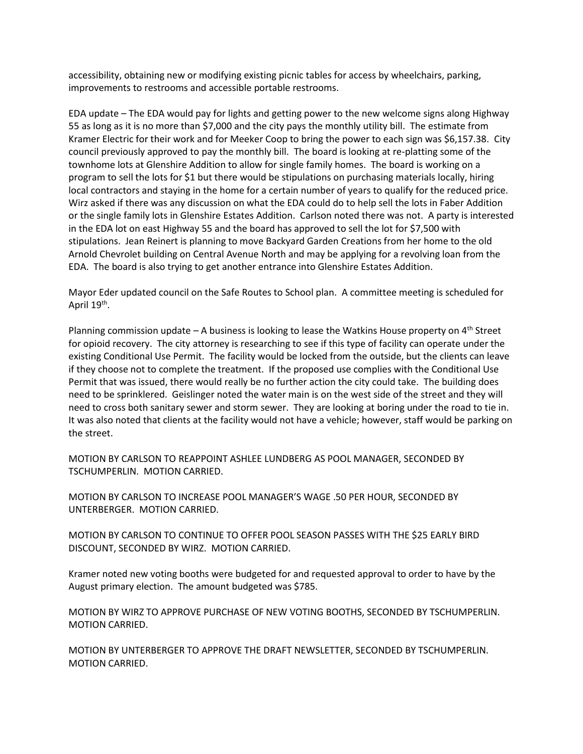accessibility, obtaining new or modifying existing picnic tables for access by wheelchairs, parking, improvements to restrooms and accessible portable restrooms.

EDA update – The EDA would pay for lights and getting power to the new welcome signs along Highway 55 as long as it is no more than \$7,000 and the city pays the monthly utility bill. The estimate from Kramer Electric for their work and for Meeker Coop to bring the power to each sign was \$6,157.38. City council previously approved to pay the monthly bill. The board is looking at re-platting some of the townhome lots at Glenshire Addition to allow for single family homes. The board is working on a program to sell the lots for \$1 but there would be stipulations on purchasing materials locally, hiring local contractors and staying in the home for a certain number of years to qualify for the reduced price. Wirz asked if there was any discussion on what the EDA could do to help sell the lots in Faber Addition or the single family lots in Glenshire Estates Addition. Carlson noted there was not. A party is interested in the EDA lot on east Highway 55 and the board has approved to sell the lot for \$7,500 with stipulations. Jean Reinert is planning to move Backyard Garden Creations from her home to the old Arnold Chevrolet building on Central Avenue North and may be applying for a revolving loan from the EDA. The board is also trying to get another entrance into Glenshire Estates Addition.

Mayor Eder updated council on the Safe Routes to School plan. A committee meeting is scheduled for April 19<sup>th</sup>.

Planning commission update – A business is looking to lease the Watkins House property on  $4<sup>th</sup>$  Street for opioid recovery. The city attorney is researching to see if this type of facility can operate under the existing Conditional Use Permit. The facility would be locked from the outside, but the clients can leave if they choose not to complete the treatment. If the proposed use complies with the Conditional Use Permit that was issued, there would really be no further action the city could take. The building does need to be sprinklered. Geislinger noted the water main is on the west side of the street and they will need to cross both sanitary sewer and storm sewer. They are looking at boring under the road to tie in. It was also noted that clients at the facility would not have a vehicle; however, staff would be parking on the street.

MOTION BY CARLSON TO REAPPOINT ASHLEE LUNDBERG AS POOL MANAGER, SECONDED BY TSCHUMPERLIN. MOTION CARRIED.

MOTION BY CARLSON TO INCREASE POOL MANAGER'S WAGE .50 PER HOUR, SECONDED BY UNTERBERGER. MOTION CARRIED.

MOTION BY CARLSON TO CONTINUE TO OFFER POOL SEASON PASSES WITH THE \$25 EARLY BIRD DISCOUNT, SECONDED BY WIRZ. MOTION CARRIED.

Kramer noted new voting booths were budgeted for and requested approval to order to have by the August primary election. The amount budgeted was \$785.

MOTION BY WIRZ TO APPROVE PURCHASE OF NEW VOTING BOOTHS, SECONDED BY TSCHUMPERLIN. MOTION CARRIED.

MOTION BY UNTERBERGER TO APPROVE THE DRAFT NEWSLETTER, SECONDED BY TSCHUMPERLIN. MOTION CARRIED.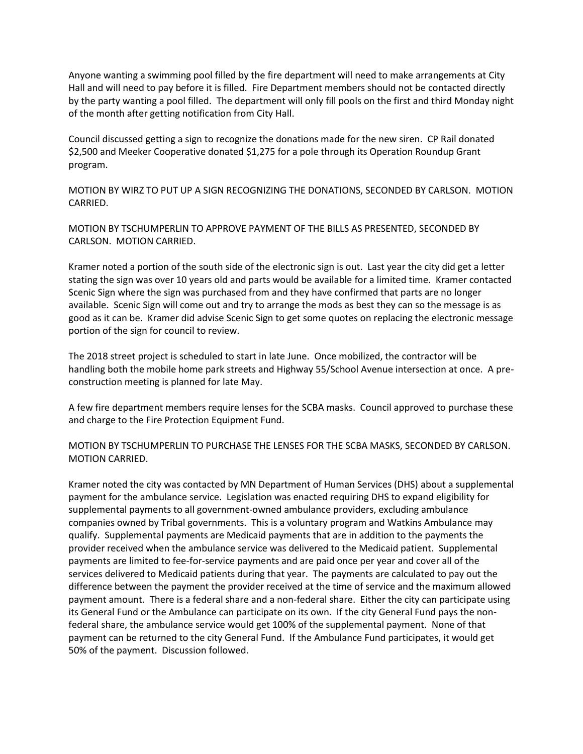Anyone wanting a swimming pool filled by the fire department will need to make arrangements at City Hall and will need to pay before it is filled. Fire Department members should not be contacted directly by the party wanting a pool filled. The department will only fill pools on the first and third Monday night of the month after getting notification from City Hall.

Council discussed getting a sign to recognize the donations made for the new siren. CP Rail donated \$2,500 and Meeker Cooperative donated \$1,275 for a pole through its Operation Roundup Grant program.

MOTION BY WIRZ TO PUT UP A SIGN RECOGNIZING THE DONATIONS, SECONDED BY CARLSON. MOTION CARRIED.

MOTION BY TSCHUMPERLIN TO APPROVE PAYMENT OF THE BILLS AS PRESENTED, SECONDED BY CARLSON. MOTION CARRIED.

Kramer noted a portion of the south side of the electronic sign is out. Last year the city did get a letter stating the sign was over 10 years old and parts would be available for a limited time. Kramer contacted Scenic Sign where the sign was purchased from and they have confirmed that parts are no longer available. Scenic Sign will come out and try to arrange the mods as best they can so the message is as good as it can be. Kramer did advise Scenic Sign to get some quotes on replacing the electronic message portion of the sign for council to review.

The 2018 street project is scheduled to start in late June. Once mobilized, the contractor will be handling both the mobile home park streets and Highway 55/School Avenue intersection at once. A preconstruction meeting is planned for late May.

A few fire department members require lenses for the SCBA masks. Council approved to purchase these and charge to the Fire Protection Equipment Fund.

MOTION BY TSCHUMPERLIN TO PURCHASE THE LENSES FOR THE SCBA MASKS, SECONDED BY CARLSON. MOTION CARRIED.

Kramer noted the city was contacted by MN Department of Human Services (DHS) about a supplemental payment for the ambulance service. Legislation was enacted requiring DHS to expand eligibility for supplemental payments to all government-owned ambulance providers, excluding ambulance companies owned by Tribal governments. This is a voluntary program and Watkins Ambulance may qualify. Supplemental payments are Medicaid payments that are in addition to the payments the provider received when the ambulance service was delivered to the Medicaid patient. Supplemental payments are limited to fee-for-service payments and are paid once per year and cover all of the services delivered to Medicaid patients during that year. The payments are calculated to pay out the difference between the payment the provider received at the time of service and the maximum allowed payment amount. There is a federal share and a non-federal share. Either the city can participate using its General Fund or the Ambulance can participate on its own. If the city General Fund pays the nonfederal share, the ambulance service would get 100% of the supplemental payment. None of that payment can be returned to the city General Fund. If the Ambulance Fund participates, it would get 50% of the payment. Discussion followed.